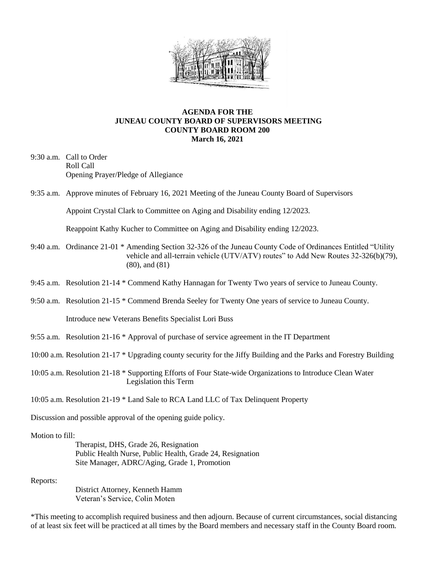

## **AGENDA FOR THE JUNEAU COUNTY BOARD OF SUPERVISORS MEETING COUNTY BOARD ROOM 200 March 16, 2021**

- 9:30 a.m. Call to Order Roll Call Opening Prayer/Pledge of Allegiance
- 9:35 a.m. Approve minutes of February 16, 2021 Meeting of the Juneau County Board of Supervisors

Appoint Crystal Clark to Committee on Aging and Disability ending 12/2023.

Reappoint Kathy Kucher to Committee on Aging and Disability ending 12/2023.

- 9:40 a.m. Ordinance 21-01 \* Amending Section 32-326 of the Juneau County Code of Ordinances Entitled "Utility vehicle and all-terrain vehicle (UTV/ATV) routes" to Add New Routes 32-326(b)(79), (80), and (81)
- 9:45 a.m. Resolution 21-14 \* Commend Kathy Hannagan for Twenty Two years of service to Juneau County.
- 9:50 a.m. Resolution 21-15 \* Commend Brenda Seeley for Twenty One years of service to Juneau County.

Introduce new Veterans Benefits Specialist Lori Buss

- 9:55 a.m. Resolution 21-16 \* Approval of purchase of service agreement in the IT Department
- 10:00 a.m. Resolution 21-17 \* Upgrading county security for the Jiffy Building and the Parks and Forestry Building
- 10:05 a.m. Resolution 21-18 \* Supporting Efforts of Four State-wide Organizations to Introduce Clean Water Legislation this Term

10:05 a.m. Resolution 21-19 \* Land Sale to RCA Land LLC of Tax Delinquent Property

Discussion and possible approval of the opening guide policy.

## Motion to fill:

Therapist, DHS, Grade 26, Resignation Public Health Nurse, Public Health, Grade 24, Resignation Site Manager, ADRC/Aging, Grade 1, Promotion

Reports:

District Attorney, Kenneth Hamm Veteran's Service, Colin Moten

\*This meeting to accomplish required business and then adjourn. Because of current circumstances, social distancing of at least six feet will be practiced at all times by the Board members and necessary staff in the County Board room.